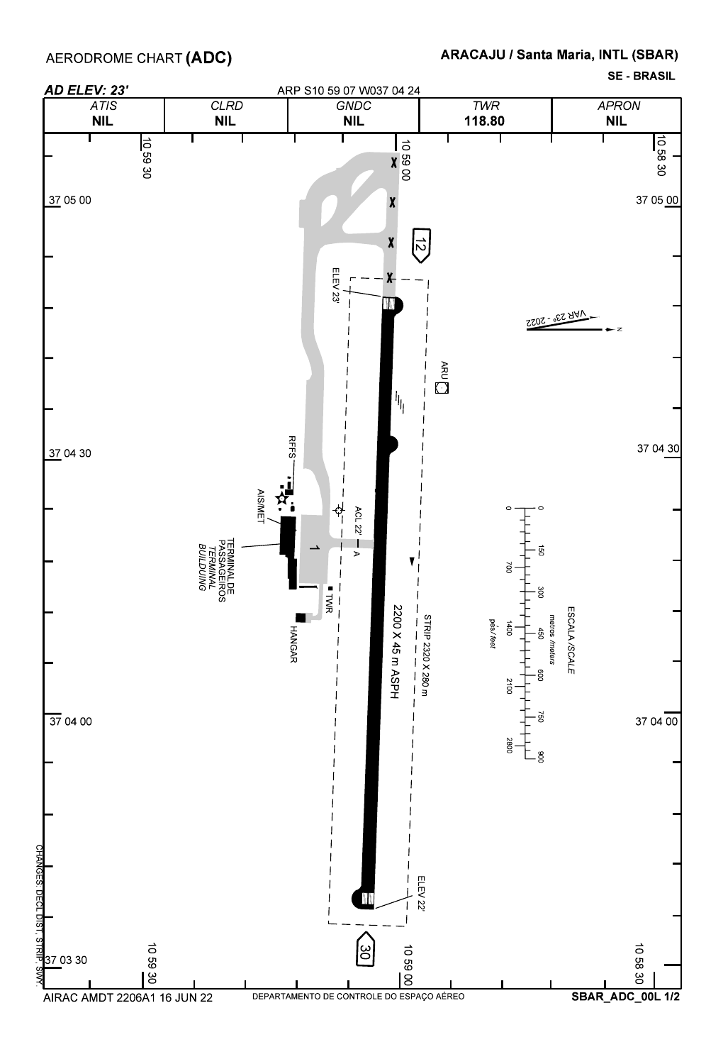**SE BRASIL**